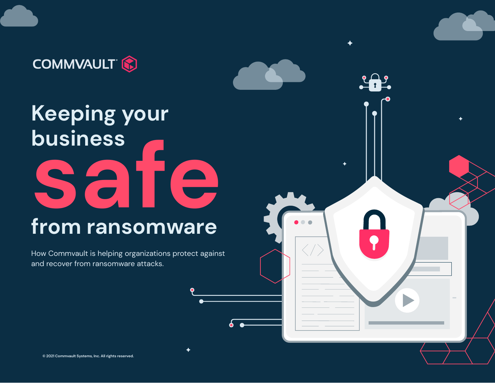### **COMMVAULT (2)**

# **Keeping your business from ransomware safe**

How Commvault is helping organizations protect against and recover from ransomware attacks.

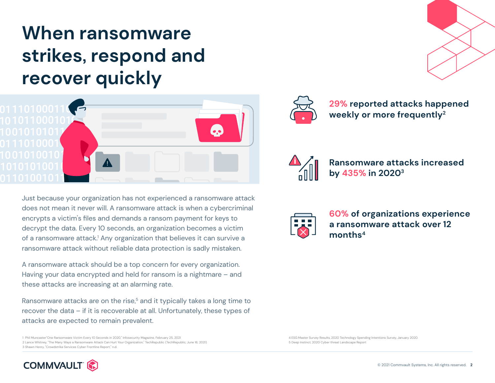### **When ransomware strikes, respond and recover quickly**



Just because your organization has not experienced a ransomware attack does not mean it never will. A ransomware attack is when a cybercriminal encrypts a victim's files and demands a ransom payment for keys to decrypt the data. Every 10 seconds, an organization becomes a victim of a ransomware attack.<sup>1</sup> Any organization that believes it can survive a ransomware attack without reliable data protection is sadly mistaken.

A ransomware attack should be a top concern for every organization. Having your data encrypted and held for ransom is a nightmare – and these attacks are increasing at an alarming rate.

Ransomware attacks are on the rise,<sup>5</sup> and it typically takes a long time to recover the data – if it is recoverable at all. Unfortunately, these types of attacks are expected to remain prevalent.

1 Phil Muncaster"One Ransomware Victim Every 10 Seconds in 2020," Infosecurity Magazine, February 25, 2021 2 Lance Whitney, "The Many Ways a Ransomware Attack Can Hurt Your Organization," TechRepublic (TechRepublic, June 16, 2021) 3 Shawn Henry, "Crowdstrike Services Cyber Frontline Report," n.d.





**29% reported attacks happened weekly or more frequently2**



**Ransomware attacks increased by 435% in 20203**



**60% of organizations experience a ransomware attack over 12 months4**

4 ESG Master Survey Results, 2020 Technology Spending Intentions Survey, January 2020. 5 Deep Instinct, 2020 Cyber threat Landscape Report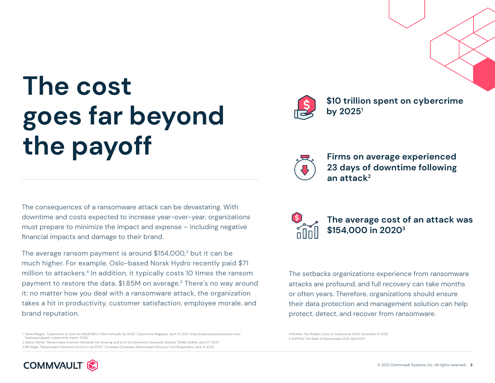## **The cost goes far beyond the payoff**

The consequences of a ransomware attack can be devastating. With downtime and costs expected to increase year-over-year, organizations must prepare to minimize the impact and expense – including negative financial impacts and damage to their brand.

The average ransom payment is around  $$154,000$ <sup>3</sup> but it can be much higher. For example, Oslo-based Norsk Hydro recently paid \$71 million to attackers.<sup>4</sup> In addition, it typically costs 10 times the ransom payment to restore the data, \$1.85M on average.<sup>5</sup> There's no way around it: no matter how you deal with a ransomware attack, the organization takes a hit in productivity, customer satisfaction, employee morale, and brand reputation.

1 Steve Morgan, "Cybercrime to Cost the World \$10.5 Trillion Annually by 2025," Cybercrime Magazine, April 27, 2021, https://cybersecurityventures.com/ hackerpocalypse-cybercrime-report-2016/.

2 Danny Palmer, "Ransomware Extortion Demands Are Growing, and so Is the Downtime Caused by Attacks," ZDNet (ZDNet, April 27, 2021) 3 Bill Siegel, "Ransomware Payments Decline in q4 2020," Coveware (Coveware: Ransomware Recovery First Responders, June 9, 2021)



**\$10 trillion spent on cybercrime by 20251**

**Firms on average experienced 23 days of downtime following an attack2**

**The average cost of an attack was \$154,000 in 2020<sup>3</sup>**

The setbacks organizations experience from ransomware attacks are profound, and full recovery can take months or often years. Therefore, organizations should ensure their data protection and management solution can help protect, detect, and recover from ransomware.

4 McAfee, The Hidden Costs of Cybercrime 2020, December 9, 2020 5 SOPHOS, The State of Ransomware 2021, April 2021

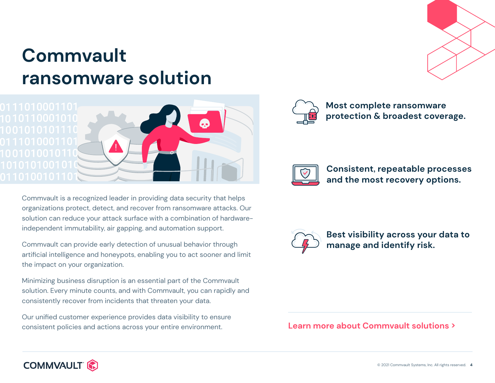### **Commvault ransomware solution**



Commvault is a recognized leader in providing data security that helps organizations protect, detect, and recover from ransomware attacks. Our solution can reduce your attack surface with a combination of hardwareindependent immutability, air gapping, and automation support.

Commvault can provide early detection of unusual behavior through artificial intelligence and honeypots, enabling you to act sooner and limit the impact on your organization.

Minimizing business disruption is an essential part of the Commvault solution. Every minute counts, and with Commvault, you can rapidly and consistently recover from incidents that threaten your data.

Our unified customer experience provides data visibility to ensure consistent policies and actions across your entire environment.



**Most complete ransomware protection & broadest coverage.**



**Consistent, repeatable processes and the most recovery options.** 



**Best visibility across your data to manage and identify risk.**

### **[Learn more about Commvault solutions >](https://cloud.kapostcontent.net/pub/04e87b42-34d4-47bf-8a75-f4812d68dfef/commvault-cyber-threat-protection-and-recovery?kui=3fYCkcGG70fKCwFPQZyFcQ)**

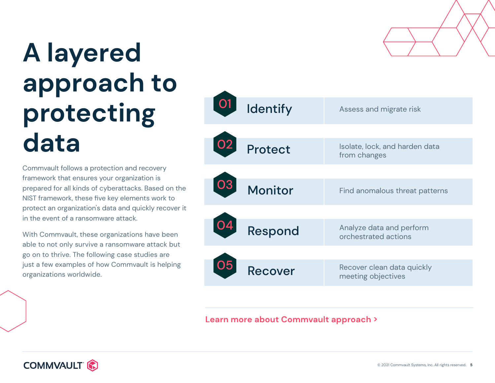## **A layered approach to protecting data**

Commvault follows a protection and recovery framework that ensures your organization is prepared for all kinds of cyberattacks. Based on the NIST framework, these five key elements work to protect an organization's data and quickly recover it in the event of a ransomware attack.

With Commvault, these organizations have been able to not only survive a ransomware attack but go on to thrive. The following case studies are just a few examples of how Commvault is helping organizations worldwide.



**[Learn more about Commvault approach >](https://cloud.kapostcontent.net/pub/9ae0f828-b8c1-422f-84cb-d3ddbcb0f537/the-multi-layered-approach-to-data-protection-and-recovery?kui=OUUPGBHBIvA0aWGTptxLNQ)**

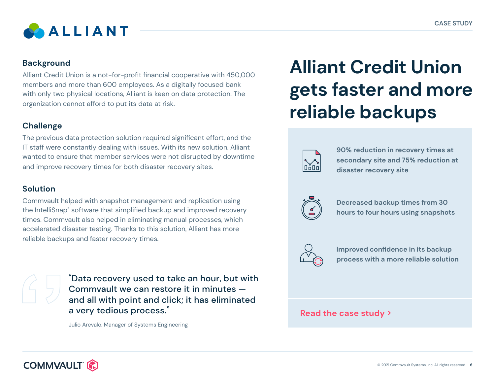

Alliant Credit Union is a not-for-profit financial cooperative with 450,000 members and more than 600 employees. As a digitally focused bank with only two physical locations, Alliant is keen on data protection. The organization cannot afford to put its data at risk.

### **Challenge**

The previous data protection solution required significant effort, and the IT staff were constantly dealing with issues. With its new solution, Alliant wanted to ensure that member services were not disrupted by downtime and improve recovery times for both disaster recovery sites.

#### **Solution**

Commvault helped with snapshot management and replication using the IntelliSnap® software that simplified backup and improved recovery times. Commvault also helped in eliminating manual processes, which accelerated disaster testing. Thanks to this solution, Alliant has more reliable backups and faster recovery times.

"Data recovery used to take an hour, but with Commvault we can restore it in minutes and all with point and click; it has eliminated a very tedious process."

Julio Arevalo, Manager of Systems Engineering

### **Alliant Credit Union gets faster and more reliable backups**



**90% reduction in recovery times at secondary site and 75% reduction at disaster recovery site**



**Decreased backup times from 30 hours to four hours using snapshots**



**Improved confidence in its backup process with a more reliable solution**

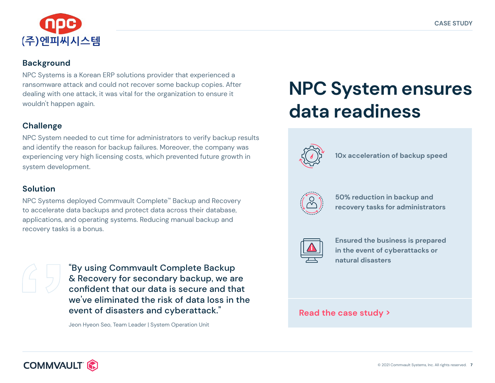

NPC Systems is a Korean ERP solutions provider that experienced a ransomware attack and could not recover some backup copies. After dealing with one attack, it was vital for the organization to ensure it wouldn't happen again.

### **Challenge**

NPC System needed to cut time for administrators to verify backup results and identify the reason for backup failures. Moreover, the company was experiencing very high licensing costs, which prevented future growth in system development.

#### **Solution**

NPC Systems deployed Commvault Complete™ Backup and Recovery to accelerate data backups and protect data across their database, applications, and operating systems. Reducing manual backup and recovery tasks is a bonus.



"By using Commvault Complete Backup & Recovery for secondary backup, we are confident that our data is secure and that we've eliminated the risk of data loss in the event of disasters and cyberattack."

Jeon Hyeon Seo, Team Leader | System Operation Unit

### **NPC System ensures data readiness**



**10x acceleration of backup speed** 



**50% reduction in backup and recovery tasks for administrators** 



**Ensured the business is prepared in the event of cyberattacks or natural disasters**

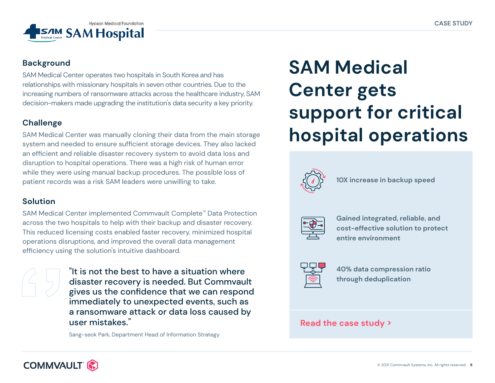

SAM Medical Center operates two hospitals in South Korea and has relationships with missionary hospitals in seven other countries. Due to the increasing numbers of ransomware attacks across the healthcare industry, SAM decision-makers made upgrading the institution's data security a key priority.

### **Challenge**

SAM Medical Center was manually cloning their data from the main storage system and needed to ensure sufficient storage devices. They also lacked an efficient and reliable disaster recovery system to avoid data loss and disruption to hospital operations. There was a high risk of human error while they were using manual backup procedures. The possible loss of patient records was a risk SAM leaders were unwilling to take.

### **Solution**

SAM Medical Center implemented Commvault Complete™ Data Protection across the two hospitals to help with their backup and disaster recovery. This reduced licensing costs enabled faster recovery, minimized hospital operations disruptions, and improved the overall data management efficiency using the solution's intuitive dashboard.

"It is not the best to have a situation where disaster recovery is needed. But Commvault gives us the confidence that we can respond immediately to unexpected events, such as a ransomware attack or data loss caused by user mistakes."

Sang-seok Park, Department Head of Information Strategy

### **SAM Medical Center gets support for critical hospital operations**



**10X increase in backup speed** 



**Gained integrated, reliable, and cost-effective solution to protect entire environment**



**40% data compression ratio through deduplication** 

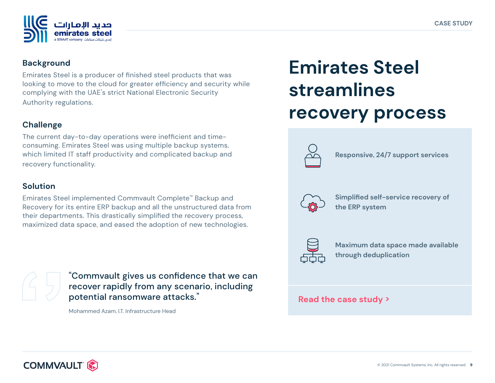

Emirates Steel is a producer of finished steel products that was looking to move to the cloud for greater efficiency and security while complying with the UAE's strict National Electronic Security Authority regulations.

### **Challenge**

The current day-to-day operations were inefficient and timeconsuming. Emirates Steel was using multiple backup systems, which limited IT staff productivity and complicated backup and recovery functionality.

#### **Solution**

Emirates Steel implemented Commvault Complete™ Backup and Recovery for its entire ERP backup and all the unstructured data from their departments. This drastically simplified the recovery process, maximized data space, and eased the adoption of new technologies.



"Commvault gives us confidence that we can recover rapidly from any scenario, including potential ransomware attacks."

Mohammed Azam, I.T. Infrastructure Head

### **Emirates Steel streamlines recovery process**



**Responsive, 24/7 support services**



**Simplified self-service recovery of the ERP system** 



**Maximum data space made available through deduplication**